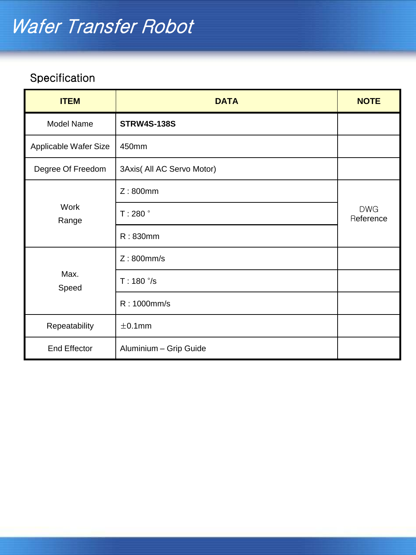| <b>ITEM</b>           | <b>DATA</b>                | <b>NOTE</b>             |
|-----------------------|----------------------------|-------------------------|
| Model Name            | <b>STRW4S-138S</b>         |                         |
| Applicable Wafer Size | 450mm                      |                         |
| Degree Of Freedom     | 3Axis( All AC Servo Motor) |                         |
| Work<br>Range         | Z:800mm                    |                         |
|                       | T:280°                     | <b>DWG</b><br>Reference |
|                       | R: 830mm                   |                         |
| Max.<br>Speed         | Z:800mm/s                  |                         |
|                       | $T: 180^{\circ}/s$         |                         |
|                       | R: 1000mm/s                |                         |
| Repeatability         | $\pm$ 0.1mm                |                         |
| <b>End Effector</b>   | Aluminium - Grip Guide     |                         |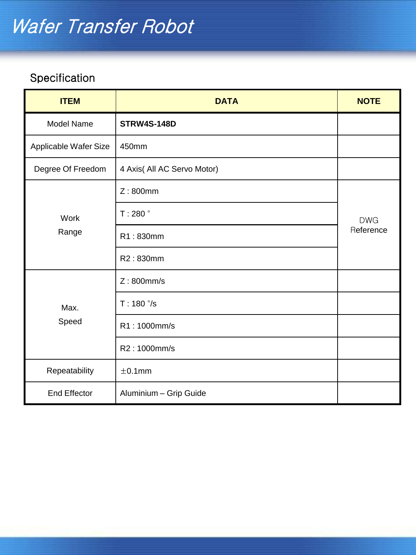| <b>ITEM</b>           | <b>DATA</b>                 | <b>NOTE</b>             |
|-----------------------|-----------------------------|-------------------------|
| Model Name            | <b>STRW4S-148D</b>          |                         |
| Applicable Wafer Size | 450mm                       |                         |
| Degree Of Freedom     | 4 Axis( All AC Servo Motor) |                         |
| Work<br>Range         | Z:800mm                     | <b>DWG</b><br>Reference |
|                       | T:280°                      |                         |
|                       | R1:830mm                    |                         |
|                       | R2:830mm                    |                         |
| Max.<br>Speed         | $Z:800$ mm/s                |                         |
|                       | $T: 180^{\circ}/s$          |                         |
|                       | R1:1000mm/s                 |                         |
|                       | R2:1000mm/s                 |                         |
| Repeatability         | $\pm$ 0.1mm                 |                         |
| <b>End Effector</b>   | Aluminium - Grip Guide      |                         |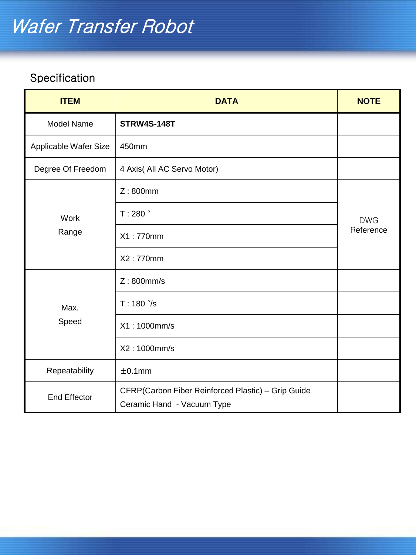| <b>ITEM</b>           | <b>DATA</b>                                                                      | <b>NOTE</b>             |
|-----------------------|----------------------------------------------------------------------------------|-------------------------|
| Model Name            | <b>STRW4S-148T</b>                                                               |                         |
| Applicable Wafer Size | 450mm                                                                            |                         |
| Degree Of Freedom     | 4 Axis( All AC Servo Motor)                                                      |                         |
| Work<br>Range         | Z:800mm                                                                          |                         |
|                       | T:280°                                                                           | <b>DWG</b><br>Reference |
|                       | X1:770mm                                                                         |                         |
|                       | X2:770mm                                                                         |                         |
| Max.<br>Speed         | $Z:800$ mm/s                                                                     |                         |
|                       | $T: 180^{\circ}/s$                                                               |                         |
|                       | X1:1000mm/s                                                                      |                         |
|                       | X2:1000mm/s                                                                      |                         |
| Repeatability         | $\pm$ 0.1mm                                                                      |                         |
| <b>End Effector</b>   | CFRP(Carbon Fiber Reinforced Plastic) - Grip Guide<br>Ceramic Hand - Vacuum Type |                         |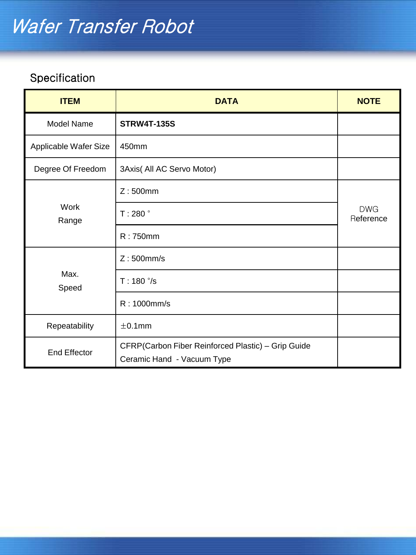| <b>ITEM</b>           | <b>DATA</b>                                                                      | <b>NOTE</b>             |
|-----------------------|----------------------------------------------------------------------------------|-------------------------|
| <b>Model Name</b>     | <b>STRW4T-135S</b>                                                               |                         |
| Applicable Wafer Size | 450mm                                                                            |                         |
| Degree Of Freedom     | 3Axis( All AC Servo Motor)                                                       |                         |
| Work<br>Range         | Z:500mm                                                                          |                         |
|                       | T:280°                                                                           | <b>DWG</b><br>Reference |
|                       | R:750mm                                                                          |                         |
| Max.<br>Speed         | $Z:500$ mm/s                                                                     |                         |
|                       | $T: 180^{\circ}/s$                                                               |                         |
|                       | R: 1000mm/s                                                                      |                         |
| Repeatability         | $\pm$ 0.1mm                                                                      |                         |
| <b>End Effector</b>   | CFRP(Carbon Fiber Reinforced Plastic) - Grip Guide<br>Ceramic Hand - Vacuum Type |                         |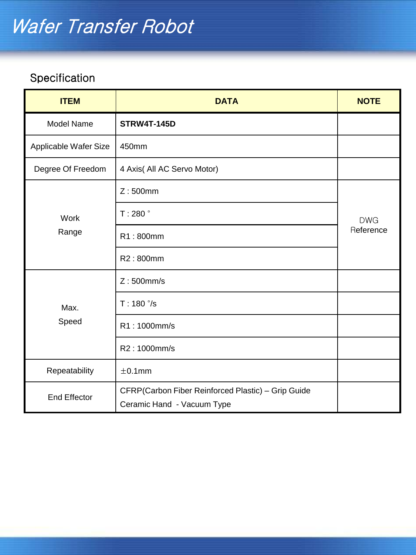| <b>ITEM</b>           | <b>DATA</b>                                                                      | <b>NOTE</b>             |
|-----------------------|----------------------------------------------------------------------------------|-------------------------|
| Model Name            | <b>STRW4T-145D</b>                                                               |                         |
| Applicable Wafer Size | 450mm                                                                            |                         |
| Degree Of Freedom     | 4 Axis( All AC Servo Motor)                                                      |                         |
| Work<br>Range         | Z:500mm                                                                          |                         |
|                       | T:280°                                                                           | <b>DWG</b><br>Reference |
|                       | R1:800mm                                                                         |                         |
|                       | R2:800mm                                                                         |                         |
| Max.<br>Speed         | $Z:500$ mm/s                                                                     |                         |
|                       | $T: 180^{\circ}/s$                                                               |                         |
|                       | R1:1000mm/s                                                                      |                         |
|                       | R2:1000mm/s                                                                      |                         |
| Repeatability         | $\pm$ 0.1mm                                                                      |                         |
| <b>End Effector</b>   | CFRP(Carbon Fiber Reinforced Plastic) - Grip Guide<br>Ceramic Hand - Vacuum Type |                         |